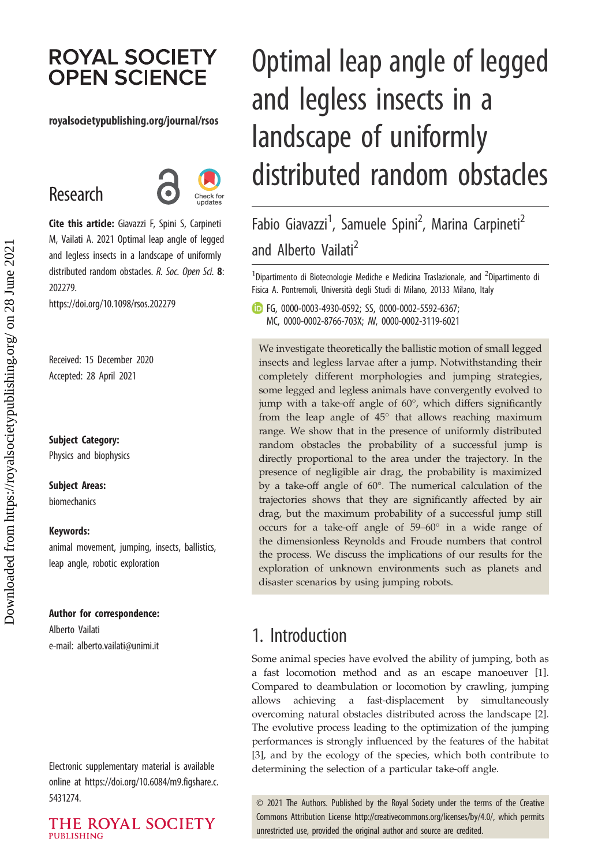# **ROYAL SOCIETY OPEN SCIENCE**

### royalsocietypublishing.org/journal/rsos

# Research



Cite this article: Giavazzi F, Spini S, Carpineti M, Vailati A. 2021 Optimal leap angle of legged and legless insects in a landscape of uniformly distributed random obstacles. R. Soc. Open Sci. 8: 202279.

https://doi.org/10.1098/rsos.202279

Received: 15 December 2020 Accepted: 28 April 2021

Subject Category: Physics and biophysics

## Subject Areas:

biomechanics

#### Keywords:

animal movement, jumping, insects, ballistics, leap angle, robotic exploration

### Author for correspondence:

Alberto Vailati e-mail: [alberto.vailati@unimi.it](mailto:alberto.vailati@unimi.it)

Electronic supplementary material is available online at [https://doi.org/10.6084/m9.figshare.c.](https://doi.org/10.6084/m9.figshare.c.5431274) [5431274.](https://doi.org/10.6084/m9.figshare.c.5431274)

THE ROYAL SOCIETY **PUBLISHING** 

# Optimal leap angle of legged and legless insects in a landscape of uniformly distributed random obstacles

Fabio Giavazzi<sup>1</sup>, Samuele Spini<sup>2</sup>, Marina Carpineti<sup>2</sup> and Alberto Vailati<sup>2</sup>

 $^1$ Dipartimento di Biotecnologie Mediche e Medicina Traslazionale, and  $^2$ Dipartimento di Fisica A. Pontremoli, Università degli Studi di Milano, 20133 Milano, Italy

FG, [0000-0003-4930-0592;](http://orcid.org/0000-0003-4930-0592) SS, [0000-0002-5592-6367](http://orcid.org/0000-0002-5592-6367); MC, [0000-0002-8766-703X;](http://orcid.org/0000-0002-8766-703X) AV, [0000-0002-3119-6021](http://orcid.org/0000-0002-3119-6021)

We investigate theoretically the ballistic motion of small legged insects and legless larvae after a jump. Notwithstanding their completely different morphologies and jumping strategies, some legged and legless animals have convergently evolved to jump with a take-off angle of 60°, which differs significantly from the leap angle of 45° that allows reaching maximum range. We show that in the presence of uniformly distributed random obstacles the probability of a successful jump is directly proportional to the area under the trajectory. In the presence of negligible air drag, the probability is maximized by a take-off angle of 60°. The numerical calculation of the trajectories shows that they are significantly affected by air drag, but the maximum probability of a successful jump still occurs for a take-off angle of 59–60° in a wide range of the dimensionless Reynolds and Froude numbers that control the process. We discuss the implications of our results for the exploration of unknown environments such as planets and disaster scenarios by using jumping robots.

## 1. Introduction

Some animal species have evolved the ability of jumping, both as a fast locomotion method and as an escape manoeuver [[1](#page-6-0)]. Compared to deambulation or locomotion by crawling, jumping allows achieving a fast-displacement by simultaneously overcoming natural obstacles distributed across the landscape [[2](#page-6-0)]. The evolutive process leading to the optimization of the jumping performances is strongly influenced by the features of the habitat [[3](#page-6-0)], and by the ecology of the species, which both contribute to determining the selection of a particular take-off angle.

© 2021 The Authors. Published by the Royal Society under the terms of the Creative Commons Attribution License<http://creativecommons.org/licenses/by/4.0/>, which permits unrestricted use, provided the original author and source are credited.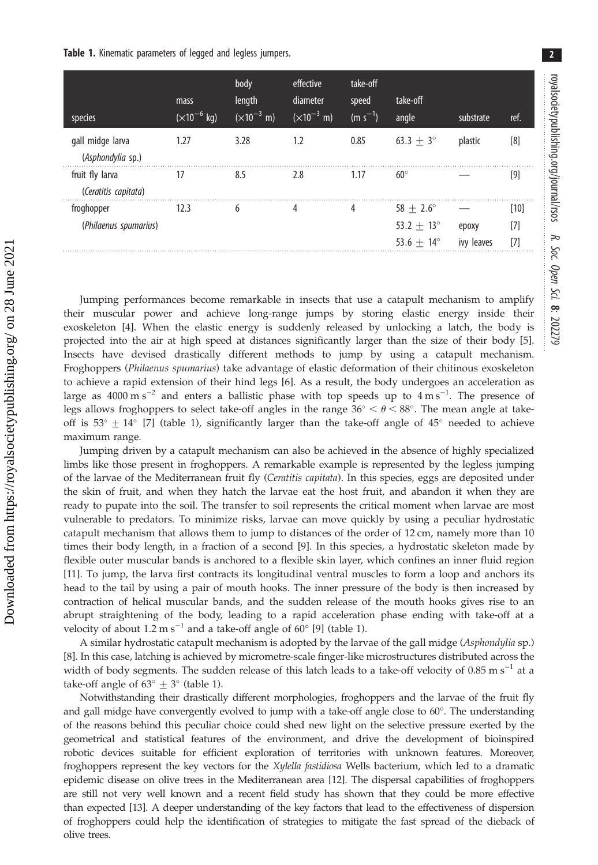<span id="page-1-0"></span>

| species                                 | mass<br>$\sqrt{(10^{-6} \text{ kg})}$ | body<br>length<br>$(\times 10^{-3} \text{ m})$ | effective<br>diameter<br>$(\times 10^{-3} \text{ m})$ | take-off<br>speed<br>$(m s^{-1})$ | take-off<br>angle                                                   | substrate           | ref.                 |
|-----------------------------------------|---------------------------------------|------------------------------------------------|-------------------------------------------------------|-----------------------------------|---------------------------------------------------------------------|---------------------|----------------------|
| gall midge larva<br>(Asphondylia sp.)   | 1.27                                  | 3.28                                           | 1.2                                                   | 0.85                              | $63.3 + 3^{\circ}$                                                  | plastic             | [8]                  |
| fruit fly larva<br>(Ceratitis capitata) | 17                                    | 8.5                                            | 2.8                                                   | 1.17                              | $60^\circ$                                                          |                     | $[9]$                |
| froghopper<br>(Philaenus spumarius)     | 12.3                                  | 6                                              | 4                                                     | 4                                 | $58 + 2.6^{\circ}$<br>$53.2 + 13^{\circ}$<br>53.6 $+$ 14 $^{\circ}$ | epoxy<br>ivy leaves | $[10]$<br>[7]<br>[7] |

Jumping performances become remarkable in insects that use a catapult mechanism to amplify their muscular power and achieve long-range jumps by storing elastic energy inside their exoskeleton [\[4\]](#page-7-0). When the elastic energy is suddenly released by unlocking a latch, the body is projected into the air at high speed at distances significantly larger than the size of their body [[5](#page-7-0)]. Insects have devised drastically different methods to jump by using a catapult mechanism. Froghoppers (Philaenus spumarius) take advantage of elastic deformation of their chitinous exoskeleton to achieve a rapid extension of their hind legs [[6](#page-7-0)]. As a result, the body undergoes an acceleration as large as 4000 m s<sup>-2</sup> and enters a ballistic phase with top speeds up to  $4 \text{ m s}^{-1}$ . The presence of legs allows froghoppers to select take-off angles in the range  $36^{\circ} < \theta < 88^{\circ}$ . The mean angle at takeoff is  $53^{\circ} \pm 14^{\circ}$  [[7](#page-7-0)] (table 1), significantly larger than the take-off angle of  $45^{\circ}$  needed to achieve maximum range.

Jumping driven by a catapult mechanism can also be achieved in the absence of highly specialized limbs like those present in froghoppers. A remarkable example is represented by the legless jumping of the larvae of the Mediterranean fruit fly (Ceratitis capitata). In this species, eggs are deposited under the skin of fruit, and when they hatch the larvae eat the host fruit, and abandon it when they are ready to pupate into the soil. The transfer to soil represents the critical moment when larvae are most vulnerable to predators. To minimize risks, larvae can move quickly by using a peculiar hydrostatic catapult mechanism that allows them to jump to distances of the order of 12 cm, namely more than 10 times their body length, in a fraction of a second [[9](#page-7-0)]. In this species, a hydrostatic skeleton made by flexible outer muscular bands is anchored to a flexible skin layer, which confines an inner fluid region [\[11\]](#page-7-0). To jump, the larva first contracts its longitudinal ventral muscles to form a loop and anchors its head to the tail by using a pair of mouth hooks. The inner pressure of the body is then increased by contraction of helical muscular bands, and the sudden release of the mouth hooks gives rise to an abrupt straightening of the body, leading to a rapid acceleration phase ending with take-off at a velocity of about 1.2 m s<sup>-1</sup> and a take-off angle of 60 $^{\circ}$  [[9](#page-7-0)] (table 1).

A similar hydrostatic catapult mechanism is adopted by the larvae of the gall midge (Asphondylia sp.) [\[8\]](#page-7-0). In this case, latching is achieved by micrometre-scale finger-like microstructures distributed across the width of body segments. The sudden release of this latch leads to a take-off velocity of  $0.85 \text{ m s}^{-1}$  at a take-off angle of  $63^{\circ} \pm 3^{\circ}$  (table 1).

Notwithstanding their drastically different morphologies, froghoppers and the larvae of the fruit fly and gall midge have convergently evolved to jump with a take-off angle close to 60°. The understanding of the reasons behind this peculiar choice could shed new light on the selective pressure exerted by the geometrical and statistical features of the environment, and drive the development of bioinspired robotic devices suitable for efficient exploration of territories with unknown features. Moreover, froghoppers represent the key vectors for the Xylella fastidiosa Wells bacterium, which led to a dramatic epidemic disease on olive trees in the Mediterranean area [[12](#page-7-0)]. The dispersal capabilities of froghoppers are still not very well known and a recent field study has shown that they could be more effective than expected [[13](#page-7-0)]. A deeper understanding of the key factors that lead to the effectiveness of dispersion of froghoppers could help the identification of strategies to mitigate the fast spread of the dieback of olive trees.

2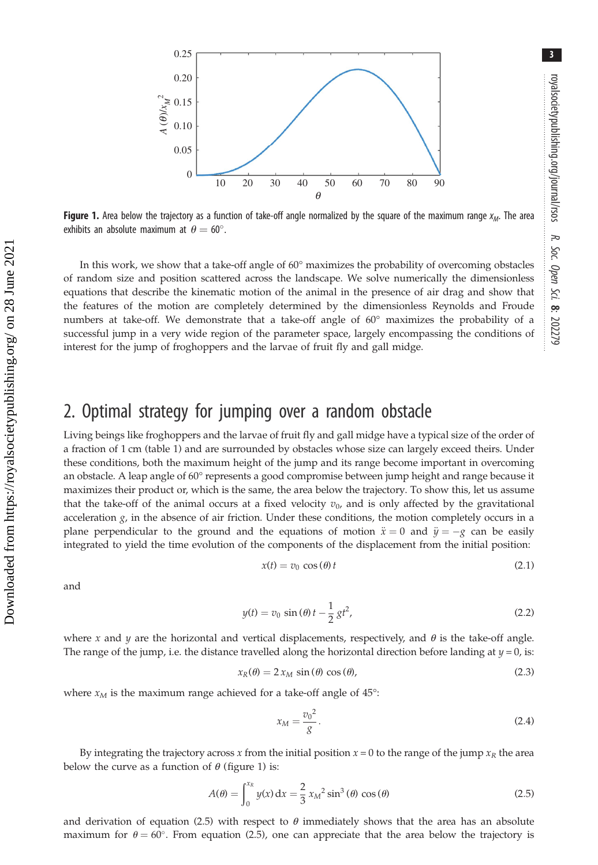<span id="page-2-0"></span>

Figure 1. Area below the trajectory as a function of take-off angle normalized by the square of the maximum range  $x_M$ . The area exhibits an absolute maximum at  $\theta = 60^\circ$ .

In this work, we show that a take-off angle of 60° maximizes the probability of overcoming obstacles of random size and position scattered across the landscape. We solve numerically the dimensionless equations that describe the kinematic motion of the animal in the presence of air drag and show that the features of the motion are completely determined by the dimensionless Reynolds and Froude numbers at take-off. We demonstrate that a take-off angle of 60° maximizes the probability of a successful jump in a very wide region of the parameter space, largely encompassing the conditions of interest for the jump of froghoppers and the larvae of fruit fly and gall midge.

## 2. Optimal strategy for jumping over a random obstacle

Living beings like froghoppers and the larvae of fruit fly and gall midge have a typical size of the order of a fraction of 1 cm [\(table 1\)](#page-1-0) and are surrounded by obstacles whose size can largely exceed theirs. Under these conditions, both the maximum height of the jump and its range become important in overcoming an obstacle. A leap angle of 60° represents a good compromise between jump height and range because it maximizes their product or, which is the same, the area below the trajectory. To show this, let us assume that the take-off of the animal occurs at a fixed velocity  $v_0$ , and is only affected by the gravitational acceleration  $g$ , in the absence of air friction. Under these conditions, the motion completely occurs in a plane perpendicular to the ground and the equations of motion  $\ddot{x} = 0$  and  $\ddot{y} = -g$  can be easily integrated to yield the time evolution of the components of the displacement from the initial position:

$$
x(t) = v_0 \cos(\theta) t \tag{2.1}
$$

and

$$
y(t) = v_0 \sin(\theta) t - \frac{1}{2}gt^2,
$$
\n(2.2)

where x and y are the horizontal and vertical displacements, respectively, and  $\theta$  is the take-off angle. The range of the jump, i.e. the distance travelled along the horizontal direction before landing at  $y = 0$ , is:

$$
x_R(\theta) = 2 x_M \sin(\theta) \cos(\theta), \tag{2.3}
$$

where  $x_M$  is the maximum range achieved for a take-off angle of 45°:

$$
x_M = \frac{v_0^2}{g}.\tag{2.4}
$$

By integrating the trajectory across x from the initial position  $x = 0$  to the range of the jump  $x_R$  the area below the curve as a function of  $\theta$  (figure 1) is:

$$
A(\theta) = \int_0^{x_R} y(x) dx = \frac{2}{3} x_M^2 \sin^3(\theta) \cos(\theta)
$$
 (2.5)

and derivation of equation (2.5) with respect to  $\theta$  immediately shows that the area has an absolute maximum for  $\theta = 60^{\circ}$ . From equation (2.5), one can appreciate that the area below the trajectory is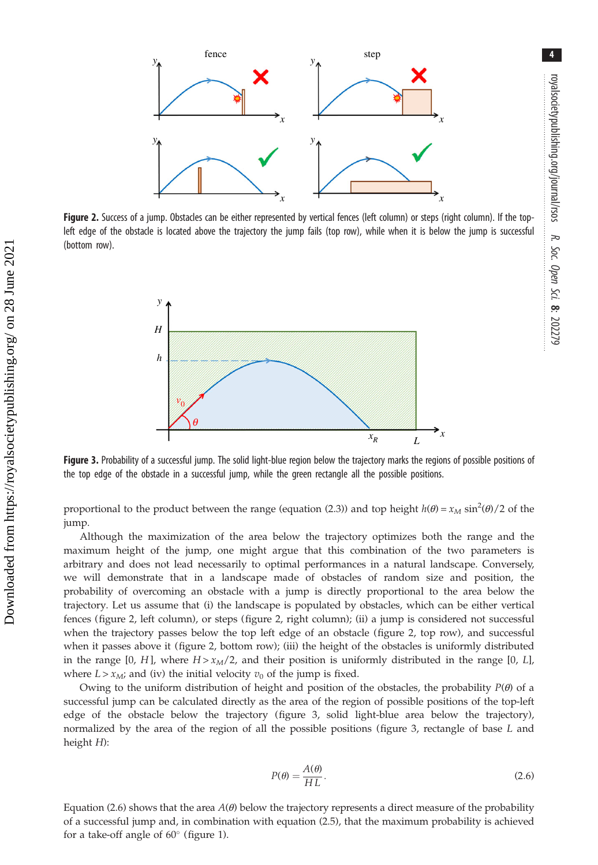

Figure 2. Success of a jump. Obstacles can be either represented by vertical fences (left column) or steps (right column). If the topleft edge of the obstacle is located above the trajectory the jump fails (top row), while when it is below the jump is successful (bottom row).



Figure 3. Probability of a successful jump. The solid light-blue region below the trajectory marks the regions of possible positions of the top edge of the obstacle in a successful jump, while the green rectangle all the possible positions.

proportional to the product between the range (equation (2.3)) and top height  $h(\theta) = x_M \sin^2(\theta)/2$  of the jump.

Although the maximization of the area below the trajectory optimizes both the range and the maximum height of the jump, one might argue that this combination of the two parameters is arbitrary and does not lead necessarily to optimal performances in a natural landscape. Conversely, we will demonstrate that in a landscape made of obstacles of random size and position, the probability of overcoming an obstacle with a jump is directly proportional to the area below the trajectory. Let us assume that (i) the landscape is populated by obstacles, which can be either vertical fences (figure 2, left column), or steps (figure 2, right column); (ii) a jump is considered not successful when the trajectory passes below the top left edge of an obstacle (figure 2, top row), and successful when it passes above it (figure 2, bottom row); (iii) the height of the obstacles is uniformly distributed in the range [0, H], where  $H > x<sub>M</sub>/2$ , and their position is uniformly distributed in the range [0, L], where  $L > x_{\text{M}}$ ; and (iv) the initial velocity  $v_0$  of the jump is fixed.

Owing to the uniform distribution of height and position of the obstacles, the probability  $P(\theta)$  of a successful jump can be calculated directly as the area of the region of possible positions of the top-left edge of the obstacle below the trajectory (figure 3, solid light-blue area below the trajectory), normalized by the area of the region of all the possible positions (figure 3, rectangle of base L and height H):

$$
P(\theta) = \frac{A(\theta)}{HL}.
$$
\n(2.6)

Equation (2.6) shows that the area  $A(\theta)$  below the trajectory represents a direct measure of the probability of a successful jump and, in combination with equation (2.5), that the maximum probability is achieved for a take-off angle of  $60^\circ$  [\(figure 1\)](#page-2-0).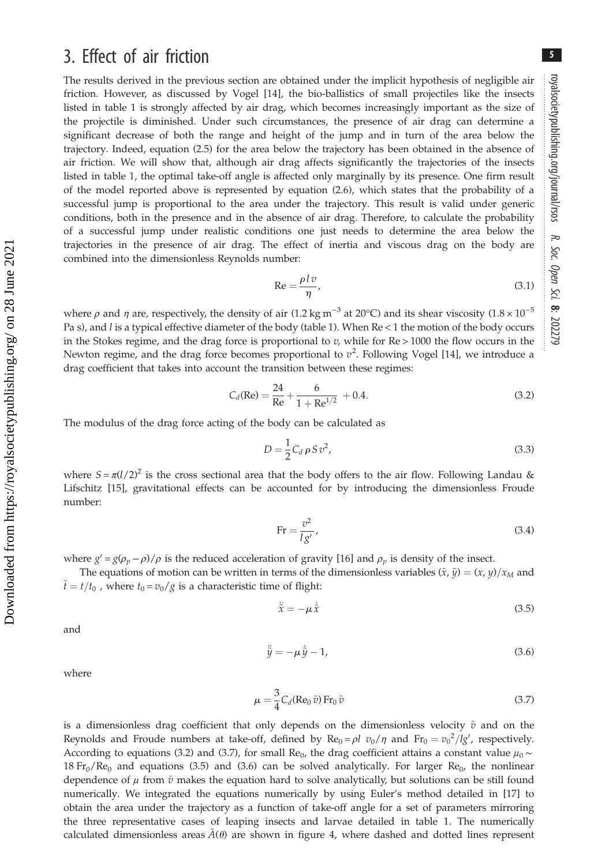5

# 3. Effect of air friction

The results derived in the previous section are obtained under the implicit hypothesis of negligible air friction. However, as discussed by Vogel [\[14](#page-7-0)], the bio-ballistics of small projectiles like the insects listed in [table 1](#page-1-0) is strongly affected by air drag, which becomes increasingly important as the size of the projectile is diminished. Under such circumstances, the presence of air drag can determine a significant decrease of both the range and height of the jump and in turn of the area below the trajectory. Indeed, equation (2.5) for the area below the trajectory has been obtained in the absence of air friction. We will show that, although air drag affects significantly the trajectories of the insects listed in [table 1](#page-1-0), the optimal take-off angle is affected only marginally by its presence. One firm result of the model reported above is represented by equation (2.6), which states that the probability of a successful jump is proportional to the area under the trajectory. This result is valid under generic conditions, both in the presence and in the absence of air drag. Therefore, to calculate the probability of a successful jump under realistic conditions one just needs to determine the area below the trajectories in the presence of air drag. The effect of inertia and viscous drag on the body are combined into the dimensionless Reynolds number:

$$
\text{Re} = \frac{\rho l v}{\eta},\tag{3.1}
$$

where  $\rho$  and  $\eta$  are, respectively, the density of air (1.2 kg m<sup>-3</sup> at 20°C) and its shear viscosity (1.8 × 10<sup>-5</sup> Pa s), and l is a typical effective diameter of the body [\(table 1](#page-1-0)). When Re < 1 the motion of the body occurs in the Stokes regime, and the drag force is proportional to  $v$ , while for  $Re$  > 1000 the flow occurs in the Newton regime, and the drag force becomes proportional to  $v^2$ . Following Vogel [[14\]](#page-7-0), we introduce a drag coefficient that takes into account the transition between these regimes:

$$
C_d(\text{Re}) = \frac{24}{\text{Re}} + \frac{6}{1 + \text{Re}^{1/2}} + 0.4.
$$
 (3.2)

The modulus of the drag force acting of the body can be calculated as

$$
D = \frac{1}{2} C_d \rho S v^2,
$$
\n(3.3)

where  $S = \pi (l/2)^2$  is the cross sectional area that the body offers to the air flow. Following Landau & Lifschitz [[15](#page-7-0)], gravitational effects can be accounted for by introducing the dimensionless Froude number:

$$
\text{Fr} = \frac{v^2}{lg'},\tag{3.4}
$$

where  $g' = g(\rho_p - \rho)/\rho$  is the reduced acceleration of gravity [[16\]](#page-7-0) and  $\rho_p$  is density of the insect.

The equations of motion can be written in terms of the dimensionless variables  $(\tilde{x}, \tilde{y}) = (x, y)/x_M$  and  $\tilde{t} = t/t_0$ , where  $t_0 = v_0/g$  is a characteristic time of flight:

$$
\ddot{\tilde{x}} = -\mu \dot{\tilde{x}} \tag{3.5}
$$

and

$$
\ddot{\tilde{y}} = -\mu \dot{\tilde{y}} - 1,\tag{3.6}
$$

where

$$
\mu = \frac{3}{4} C_d (\text{Re}_0 \,\tilde{v}) \, \text{Fr}_0 \,\tilde{v} \tag{3.7}
$$

is a dimensionless drag coefficient that only depends on the dimensionless velocity  $\tilde{v}$  and on the Reynolds and Froude numbers at take-off, defined by  $\text{Re}_0 = \rho l \ v_0 / \eta$  and  $\text{Fr}_0 = v_0^2 / \lg'$ , respectively. According to equations (3.2) and (3.7), for small Re<sub>0</sub>, the drag coefficient attains a constant value  $\mu_0 \sim$ 18  $Fr_0/Re_0$  and equations (3.5) and (3.6) can be solved analytically. For larger  $Re_0$ , the nonlinear dependence of  $\mu$  from  $\tilde{v}$  makes the equation hard to solve analytically, but solutions can be still found numerically. We integrated the equations numerically by using Euler's method detailed in [\[17](#page-7-0)] to obtain the area under the trajectory as a function of take-off angle for a set of parameters mirroring the three representative cases of leaping insects and larvae detailed in [table 1.](#page-1-0) The numerically calculated dimensionless areas  $A(\theta)$  are shown in [figure 4](#page-5-0), where dashed and dotted lines represent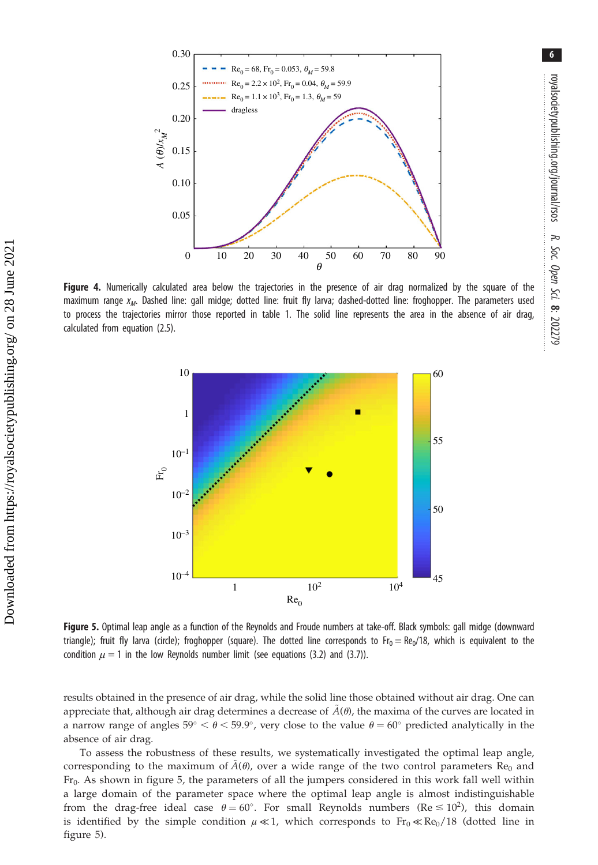<span id="page-5-0"></span>

Figure 4. Numerically calculated area below the trajectories in the presence of air drag normalized by the square of the maximum range  $x_M$ . Dashed line: gall midge; dotted line: fruit fly larva; dashed-dotted line: froghopper. The parameters used to process the trajectories mirror those reported in [table 1.](#page-1-0) The solid line represents the area in the absence of air drag, calculated from equation (2.5).



Figure 5. Optimal leap angle as a function of the Reynolds and Froude numbers at take-off. Black symbols: gall midge (downward triangle); fruit fly larva (circle); froghopper (square). The dotted line corresponds to  $Fr_0 = Re_0/18$ , which is equivalent to the condition  $\mu = 1$  in the low Reynolds number limit (see equations (3.2) and (3.7)).

results obtained in the presence of air drag, while the solid line those obtained without air drag. One can appreciate that, although air drag determines a decrease of  $A(\theta)$ , the maxima of the curves are located in a narrow range of angles  $59^{\circ} < \theta < 59.9^{\circ}$ , very close to the value  $\theta = 60^{\circ}$  predicted analytically in the absence of air drag.

To assess the robustness of these results, we systematically investigated the optimal leap angle, corresponding to the maximum of  $A(\theta)$ , over a wide range of the two control parameters Re<sub>0</sub> and Fr<sub>0</sub>. As shown in figure 5, the parameters of all the jumpers considered in this work fall well within a large domain of the parameter space where the optimal leap angle is almost indistinguishable from the drag-free ideal case  $\theta = 60^{\circ}$ . For small Reynolds numbers (Re  $\leq 10^2$ ), this domain is identified by the simple condition  $\mu \ll 1$ , which corresponds to  $Fr_0 \ll Re_0/18$  (dotted line in figure 5).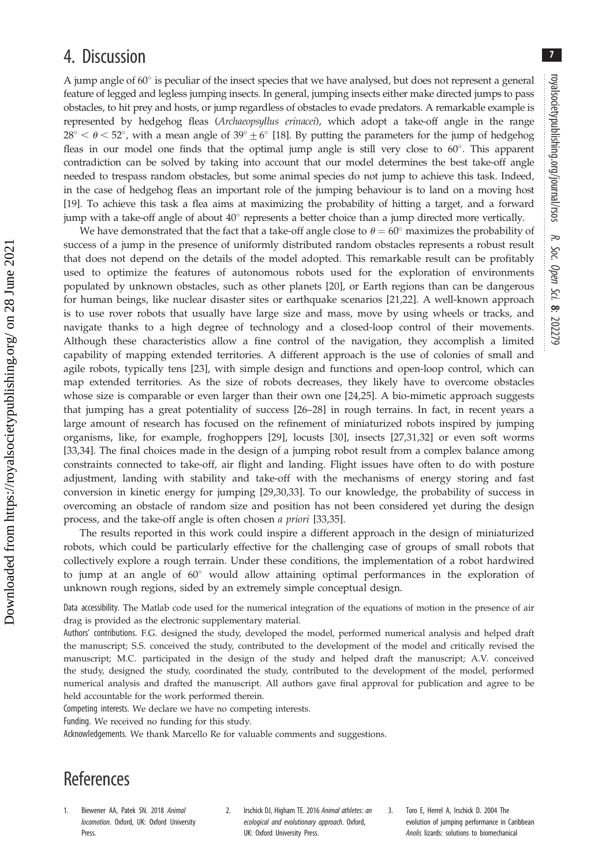7

## <span id="page-6-0"></span>4. Discussion

A jump angle of  $60^\circ$  is peculiar of the insect species that we have analysed, but does not represent a general feature of legged and legless jumping insects. In general, jumping insects either make directed jumps to pass obstacles, to hit prey and hosts, or jump regardless of obstacles to evade predators. A remarkable example is represented by hedgehog fleas (Archaeopsyllus erinacei), which adopt a take-off angle in the range  $28^{\circ} < \theta < 52^{\circ}$ , with a mean angle of  $39^{\circ} \pm 6^{\circ}$  [[18\]](#page-7-0). By putting the parameters for the jump of hedgehog fleas in our model one finds that the optimal jump angle is still very close to  $60^\circ$ . This apparent contradiction can be solved by taking into account that our model determines the best take-off angle needed to trespass random obstacles, but some animal species do not jump to achieve this task. Indeed, in the case of hedgehog fleas an important role of the jumping behaviour is to land on a moving host [\[19](#page-7-0)]. To achieve this task a flea aims at maximizing the probability of hitting a target, and a forward jump with a take-off angle of about  $40^{\circ}$  represents a better choice than a jump directed more vertically.

We have demonstrated that the fact that a take-off angle close to  $\theta = 60^{\circ}$  maximizes the probability of success of a jump in the presence of uniformly distributed random obstacles represents a robust result that does not depend on the details of the model adopted. This remarkable result can be profitably used to optimize the features of autonomous robots used for the exploration of environments populated by unknown obstacles, such as other planets [\[20](#page-7-0)], or Earth regions than can be dangerous for human beings, like nuclear disaster sites or earthquake scenarios [\[21,22\]](#page-7-0). A well-known approach is to use rover robots that usually have large size and mass, move by using wheels or tracks, and navigate thanks to a high degree of technology and a closed-loop control of their movements. Although these characteristics allow a fine control of the navigation, they accomplish a limited capability of mapping extended territories. A different approach is the use of colonies of small and agile robots, typically tens [\[23](#page-7-0)], with simple design and functions and open-loop control, which can map extended territories. As the size of robots decreases, they likely have to overcome obstacles whose size is comparable or even larger than their own one [[24,25](#page-7-0)]. A bio-mimetic approach suggests that jumping has a great potentiality of success [\[26](#page-7-0)–[28\]](#page-7-0) in rough terrains. In fact, in recent years a large amount of research has focused on the refinement of miniaturized robots inspired by jumping organisms, like, for example, froghoppers [[29\]](#page-7-0), locusts [[30\]](#page-7-0), insects [[27,31,32](#page-7-0)] or even soft worms [\[33](#page-7-0),[34\]](#page-7-0). The final choices made in the design of a jumping robot result from a complex balance among constraints connected to take-off, air flight and landing. Flight issues have often to do with posture adjustment, landing with stability and take-off with the mechanisms of energy storing and fast conversion in kinetic energy for jumping [[29,30,33](#page-7-0)]. To our knowledge, the probability of success in overcoming an obstacle of random size and position has not been considered yet during the design process, and the take-off angle is often chosen a priori [\[33](#page-7-0),[35\]](#page-7-0).

The results reported in this work could inspire a different approach in the design of miniaturized robots, which could be particularly effective for the challenging case of groups of small robots that collectively explore a rough terrain. Under these conditions, the implementation of a robot hardwired to jump at an angle of  $60^{\circ}$  would allow attaining optimal performances in the exploration of unknown rough regions, sided by an extremely simple conceptual design.

Data accessibility. The Matlab code used for the numerical integration of the equations of motion in the presence of air drag is provided as the electronic supplementary material.

Authors' contributions. F.G. designed the study, developed the model, performed numerical analysis and helped draft the manuscript; S.S. conceived the study, contributed to the development of the model and critically revised the manuscript; M.C. participated in the design of the study and helped draft the manuscript; A.V. conceived the study, designed the study, coordinated the study, contributed to the development of the model, performed numerical analysis and drafted the manuscript. All authors gave final approval for publication and agree to be held accountable for the work performed therein.

Competing interests. We declare we have no competing interests.

Funding. We received no funding for this study.

Acknowledgements. We thank Marcello Re for valuable comments and suggestions.

## References

Downloaded from https://royalsocietypublishing.org/ on 28 June 2021

Downloaded from https://royalsocietypublishing.org/ on 28 June 202

- 1. Biewener AA, Patek SN. 2018 Animal locomotion. Oxford, UK: Oxford University Press.
- 2. Irschick DJ, Higham TE. 2016 Animal athletes: an ecological and evolutionary approach. Oxford, UK: Oxford University Press.
- 3. Toro E, Herrel A, Irschick D. 2004 The evolution of jumping performance in Caribbean Anolis lizards: solutions to biomechanical